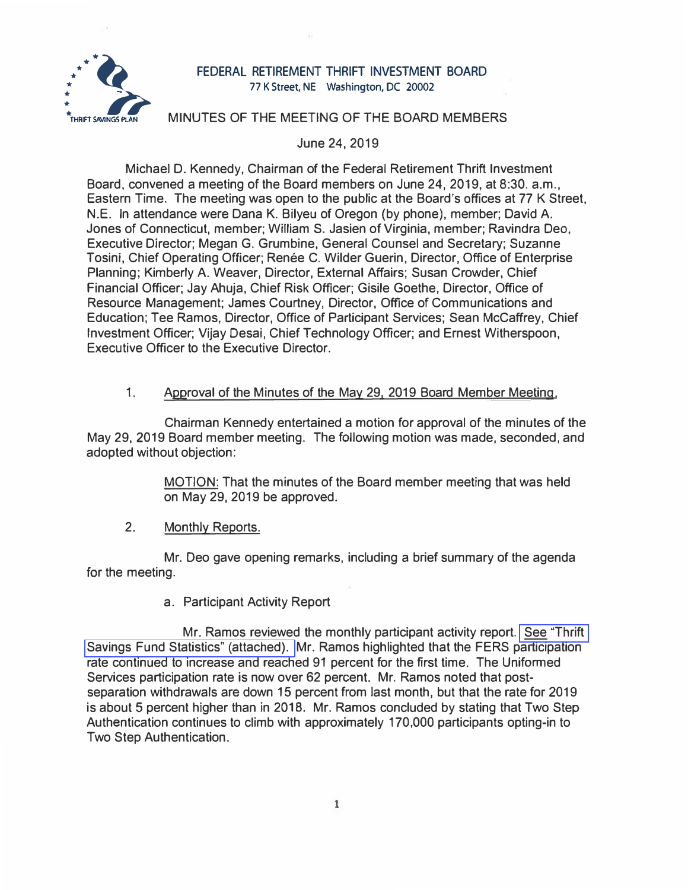

# FEDERAL RETIREMENT THRIFT INVESTMENT BOARD 77 K Street, NE Washington, DC 20002

# MINUTES OF THE MEETING OF THE BOARD MEMBERS

### June 24, 2019

Michael D. Kennedy, Chairman of the Federal Retirement Thrift Investment Board, convened a meeting of the Board members on June 24, 2019, at 8:30. a.m., Eastern Time. The meeting was open to the public at the Board's offices at 77 K Street, N.E. In attendance were Dana K. Bilyeu of Oregon (by phone), member; David A. Jones of Connecticut, member; William S. Jasien of Virginia, member; Ravindra Dec, Executive Director; Megan G. Grumbine, General Counsel and Secretary; Suzanne Tosini, Chief Operating Officer; Renée C. Wilder Guerin, Director, Office of Enterprise Planning; Kimberly A. Weaver, Director, External Affairs; Susan Crowder, Chief Financial Officer; Jay Ahuja, Chief Risk Officer; Gisile Goethe, Director, Office of Resource Management; James Courtney, Director, Office of Communications and Education; Tee Ramos, Director, Office of Participant Services; Sean McCaffrey, Chief Investment Officer; Vijay Desai, Chief Technology Officer; and Ernest Witherspoon, Executive Officer to the Executive Director.

# 1. Approval of the Minutes of the May 29, 2019 Board Member Meeting.

Chairman Kennedy entertained a motion for approval of the minutes of the May 29, 2019 Board member meeting. The following motion was made, seconded, and adopted without objection:

> MOTION: That the minutes of the Board member meeting that was held on May 29, 2019 be approved.

#### 2. Monthly Reports.

Mr. Deo gave opening remarks, including a brief summary of the agenda for the meeting.

### a. Participant Activity Report

Mr. Ramos reviewed the monthly participant activity report. [See "Thrift](https://www.frtib.gov/pdf/minutes/2019/June/MM-2019Jun-Att1.pdf)  [Savings Fund Statistics" \(attached\).](https://www.frtib.gov/pdf/minutes/2019/June/MM-2019Jun-Att1.pdf) Mr. Ramos highlighted that the FERS participation rate continued to increase and reached 91 percent for the first time. The Uniformed Services participation rate is now over 62 percent. Mr. Ramos noted that postseparation withdrawals are down 15 percent from last month, but that the rate for 2019 is about 5 percent higher than in 2018. Mr. Ramos concluded by stating that Two Step Authentication continues to climb with approximately 170,000 participants opting-in to Two Step Authentication.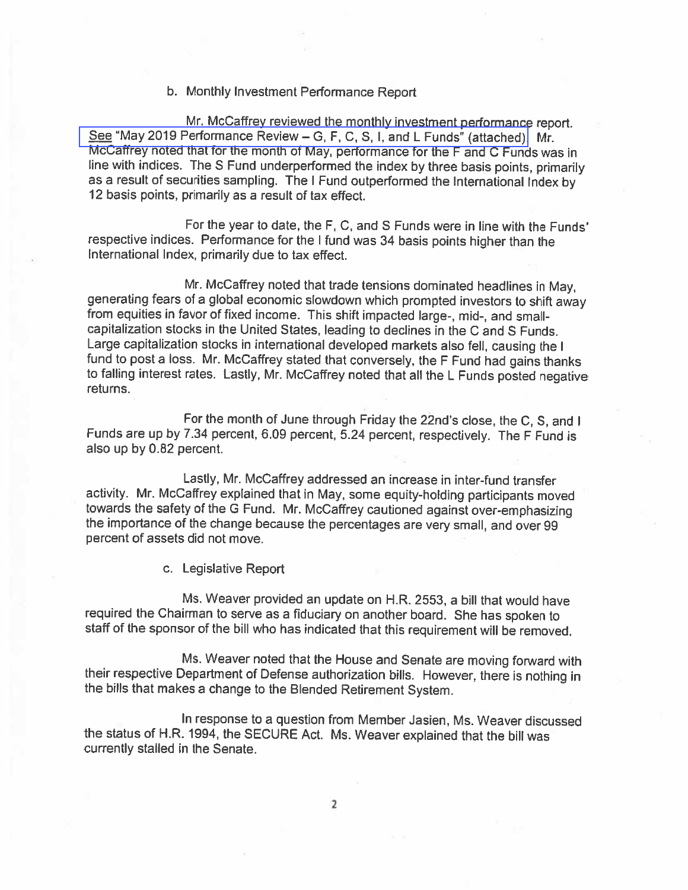### b. Monthly Investment Performance Report

Mr. McCaffrey reviewed the monthly investment performance report. See "May 2019 Performance Review - G, F, C, S, I, and L Funds" (attached). Mr. McCaffrey noted that for the month of May, performance for the F and C Funds was in line with indices. The S Fund underperformed the index by three basis points, primarily as a result of securities sampling. The I Fund outperformed the International Index by 12 basis points, primarily as a result of tax effect.

For the year to date, the F, C, and S Funds were in line with the Funds' respective indices. Performance for the I fund was 34 basis points higher than the International Index, primarily due to tax effect.

Mr. McCaffrey noted that trade tensions dominated headlines in May. generating fears of a global economic slowdown which prompted investors to shift away from equities in favor of fixed income. This shift impacted large-, mid-, and smallcapitalization stocks in the United States, leading to declines in the C and S Funds. Large capitalization stocks in international developed markets also fell, causing the I fund to post a loss. Mr. McCaffrey stated that conversely, the F Fund had gains thanks to falling interest rates. Lastly, Mr. McCaffrey noted that all the L Funds posted negative returns.

For the month of June through Friday the 22nd's close, the C, S, and I Funds are up by 7.34 percent, 6.09 percent, 5.24 percent, respectively. The F Fund is also up by 0.82 percent.

Lastly, Mr. McCaffrey addressed an increase in inter-fund transfer activity. Mr. McCaffrey explained that in May, some equity-holding participants moved towards the safety of the G Fund. Mr. McCaffrey cautioned against over-emphasizing the importance of the change because the percentages are very small, and over 99 percent of assets did not move.

c. Legislative Report

Ms. Weaver provided an update on H.R. 2553, a bill that would have required the Chairman to serve as a fiduciary on another board. She has spoken to staff of the sponsor of the bill who has indicated that this requirement will be removed.

Ms. Weaver noted that the House and Senate are moving forward with their respective Department of Defense authorization bills. However, there is nothing in the bills that makes a change to the Blended Retirement System.

In response to a question from Member Jasien, Ms. Weaver discussed the status of H.R. 1994, the SECURE Act. Ms. Weaver explained that the bill was currently stalled in the Senate.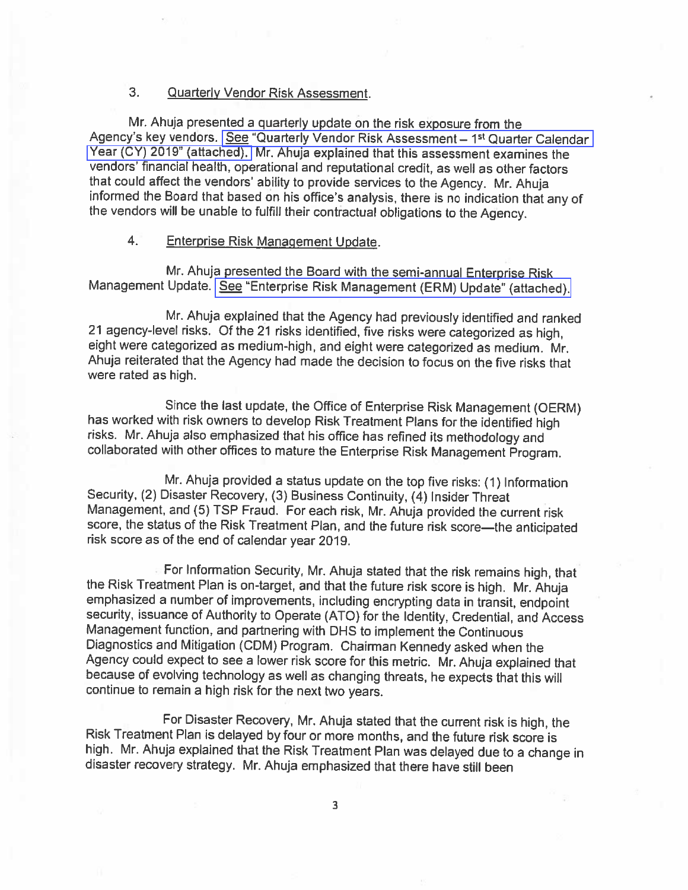#### $3<sub>1</sub>$ **Quarterly Vendor Risk Assessment.**

Mr. Ahuja presented a quarterly update on the risk exposure from the Agency's key vendors. See "Quarterly Vendor Risk Assessment - 1<sup>st</sup> Quarter Calendar Year (CY) 2019" (attached). Mr. Ahuja explained that this assessment examines the vendors' financial health, operational and reputational credit, as well as other factors that could affect the vendors' ability to provide services to the Agency. Mr. Ahuja informed the Board that based on his office's analysis, there is no indication that any of the vendors will be unable to fulfill their contractual obligations to the Agency.

#### $4.$ **Enterprise Risk Management Update.**

Mr. Ahuja presented the Board with the semi-annual Enterprise Risk Management Update. See "Enterprise Risk Management (ERM) Update" (attached).

Mr. Ahuja explained that the Agency had previously identified and ranked 21 agency-level risks. Of the 21 risks identified, five risks were categorized as high, eight were categorized as medium-high, and eight were categorized as medium. Mr. Ahuja reiterated that the Agency had made the decision to focus on the five risks that were rated as high.

Since the last update, the Office of Enterprise Risk Management (OERM) has worked with risk owners to develop Risk Treatment Plans for the identified high risks. Mr. Ahuja also emphasized that his office has refined its methodology and collaborated with other offices to mature the Enterprise Risk Management Program.

Mr. Ahuja provided a status update on the top five risks: (1) Information Security, (2) Disaster Recovery, (3) Business Continuity, (4) Insider Threat Management, and (5) TSP Fraud. For each risk, Mr. Ahuja provided the current risk score, the status of the Risk Treatment Plan, and the future risk score-the anticipated risk score as of the end of calendar year 2019.

For Information Security, Mr. Ahuja stated that the risk remains high, that the Risk Treatment Plan is on-target, and that the future risk score is high. Mr. Ahuja emphasized a number of improvements, including encrypting data in transit, endpoint security, issuance of Authority to Operate (ATO) for the Identity, Credential, and Access Management function, and partnering with DHS to implement the Continuous Diagnostics and Mitigation (CDM) Program. Chairman Kennedy asked when the Agency could expect to see a lower risk score for this metric. Mr. Ahuja explained that because of evolving technology as well as changing threats, he expects that this will continue to remain a high risk for the next two years.

For Disaster Recovery, Mr. Ahuja stated that the current risk is high, the Risk Treatment Plan is delayed by four or more months, and the future risk score is high. Mr. Ahuja explained that the Risk Treatment Plan was delayed due to a change in disaster recovery strategy. Mr. Ahuja emphasized that there have still been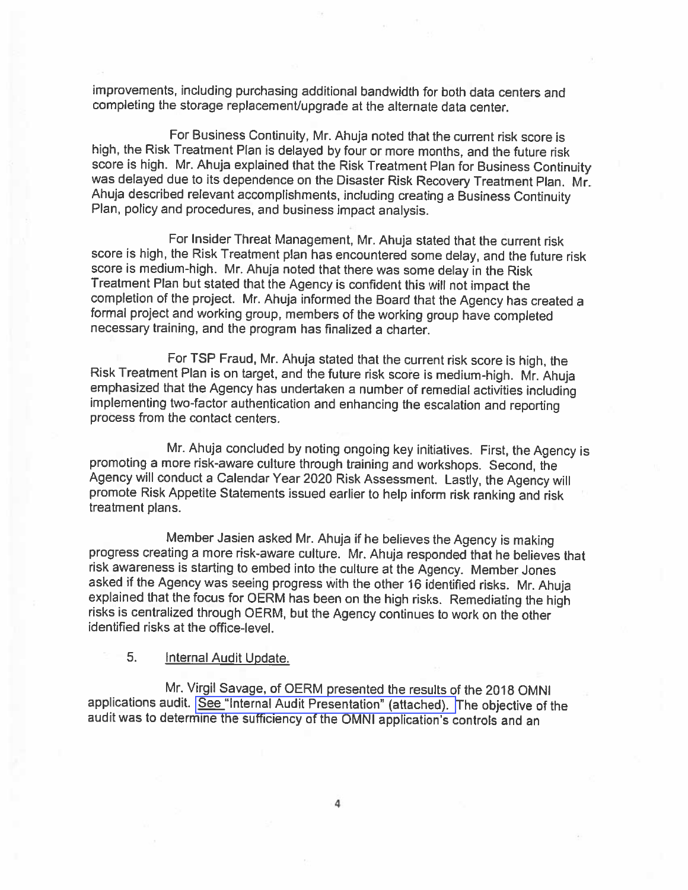improvements, including purchasing additional bandwidth for both data centers and completing the storage replacement/upgrade at the alternate data center.

For Business Continuity, Mr. Ahuja noted that the current risk score is high, the Risk Treatment Plan is delayed by four or more months, and the future risk score is high. Mr. Ahuja explained that the Risk Treatment Plan for Business Continuity was delayed due to its dependence on the Disaster Risk Recovery Treatment Plan. Mr. Ahuja described relevant accomplishments, including creating a Business Continuity Plan, policy and procedures, and business impact analysis.

For Insider Threat Management, Mr. Ahuja stated that the current risk score is high, the Risk Treatment plan has encountered some delay, and the future risk score is medium-high. Mr. Ahuja noted that there was some delay in the Risk Treatment Plan but stated that the Agency is confident this will not impact the completion of the project. Mr. Ahuja informed the Board that the Agency has created a formal project and working group, members of the working group have completed necessary training, and the program has finalized a charter.

For TSP Fraud, Mr. Ahuja stated that the current risk score is high, the Risk Treatment Plan is on target, and the future risk score is medium-high. Mr. Ahuja emphasized that the Agency has undertaken a number of remedial activities including implementing two-factor authentication and enhancing the escalation and reporting process from the contact centers.

Mr. Ahuja concluded by noting ongoing key initiatives. First, the Agency is promoting a more risk-aware culture through training and workshops. Second, the Agency will conduct a Calendar Year 2020 Risk Assessment. Lastly, the Agency will promote Risk Appetite Statements issued earlier to help inform risk ranking and risk treatment plans.

Member Jasien asked Mr. Ahuja if he believes the Agency is making progress creating a more risk-aware culture. Mr. Ahuja responded that he believes that risk awareness is starting to embed into the culture at the Agency. Member Jones asked if the Agency was seeing progress with the other 16 identified risks. Mr. Ahuja explained that the focus for OERM has been on the high risks. Remediating the high risks is centralized through OERM, but the Agency continues to work on the other identified risks at the office-level.

#### 5. Internal Audit Update.

Mr. Virgil Savage, of OERM presented the results of the 2018 OMNI applications audit. See "Internal Audit Presentation" (attached). The objective of the audit was to determine the sufficiency of the OMNI application's controls and an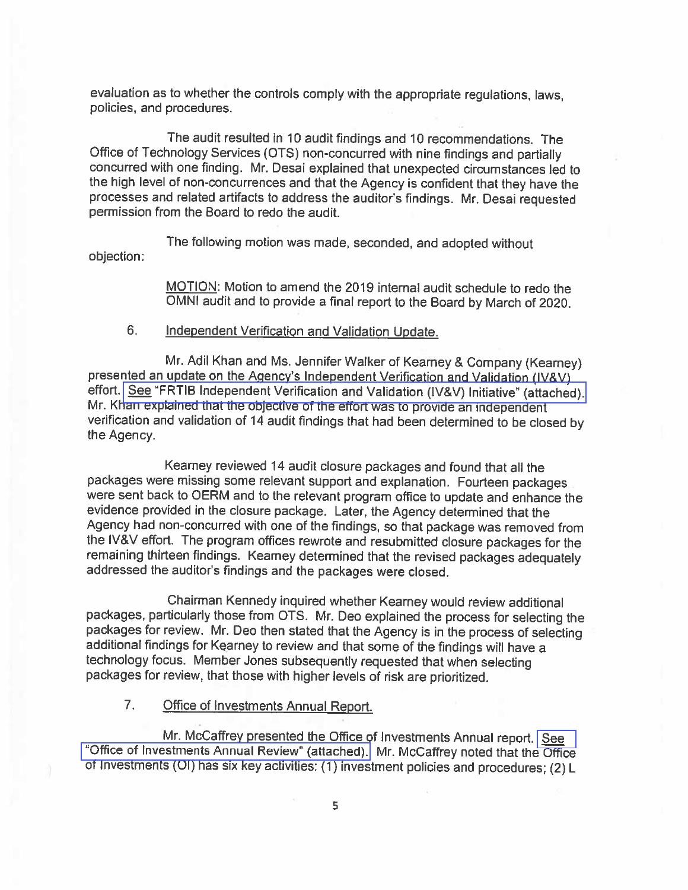evaluation as to whether the controls comply with the appropriate regulations, laws, policies, and procedures.

The audit resulted in 10 audit findings and 10 recommendations. The Office of Technology Services (OTS) non-concurred with nine findings and partially concurred with one finding. Mr. Desai explained that unexpected circumstances led to the high level of non-concurrences and that the Agency is confident that they have the processes and related artifacts to address the auditor's findings. Mr. Desai requested permission from the Board to redo the audit.

The following motion was made, seconded, and adopted without objection:

> MOTION: Motion to amend the 2019 internal audit schedule to redo the OMNI audit and to provide a final report to the Board by March of 2020.

#### 6. Independent Verification and Validation Update.

Mr. Adil Khan and Ms. Jennifer Walker of Kearney & Company (Kearney) presented an update on the Agency's Independent Verification and Validation (IV&V) effort. See "FRTIB Independent Verification and Validation (IV&V) Initiative" (attached). Mr. Khan explained that the objective of the effort was to provide an independent verification and validation of 14 audit findings that had been determined to be closed by the Agency.

Kearney reviewed 14 audit closure packages and found that all the packages were missing some relevant support and explanation. Fourteen packages were sent back to OERM and to the relevant program office to update and enhance the evidence provided in the closure package. Later, the Agency determined that the Agency had non-concurred with one of the findings, so that package was removed from the IV&V effort. The program offices rewrote and resubmitted closure packages for the remaining thirteen findings. Kearney determined that the revised packages adequately addressed the auditor's findings and the packages were closed.

Chairman Kennedy inquired whether Kearney would review additional packages, particularly those from OTS. Mr. Deo explained the process for selecting the packages for review. Mr. Deo then stated that the Agency is in the process of selecting additional findings for Kearney to review and that some of the findings will have a technology focus. Member Jones subsequently requested that when selecting packages for review, that those with higher levels of risk are prioritized.

#### $7.$ **Office of Investments Annual Report.**

Mr. McCaffrey presented the Office of Investments Annual report. See "Office of Investments Annual Review" (attached). Mr. McCaffrey noted that the Office of Investments (OI) has six key activities: (1) investment policies and procedures; (2) L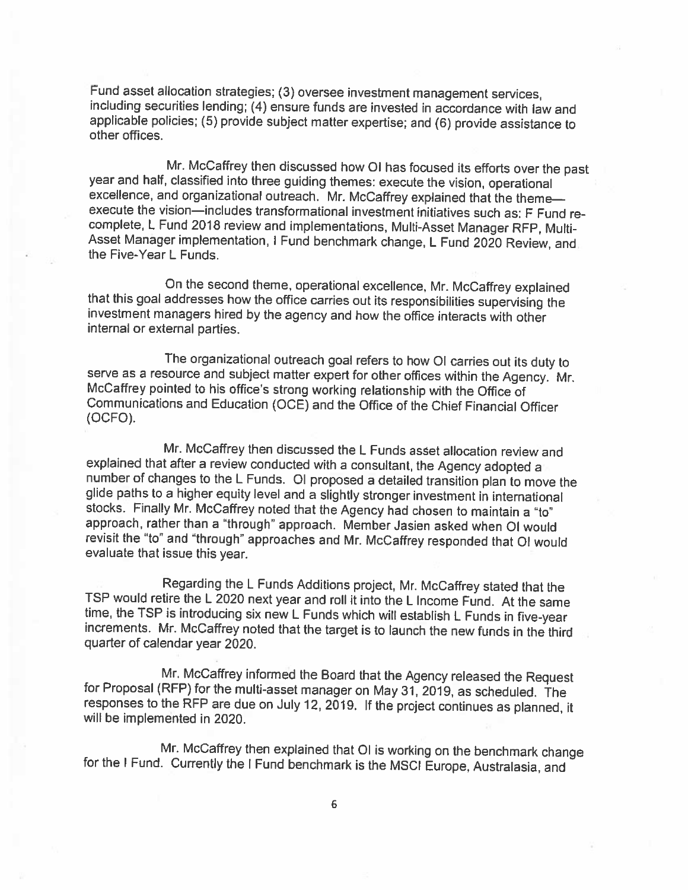Fund asset allocation strategies; (3) oversee investment management services, including securities lending; (4) ensure funds are invested in accordance with law and applicable policies; (5) provide subject matter expertise; and (6) provide assistance to other offices.

Mr. McCaffrey then discussed how OI has focused its efforts over the past year and half, classified into three guiding themes: execute the vision, operational excellence, and organizational outreach. Mr. McCaffrey explained that the themeexecute the vision—includes transformational investment initiatives such as: F Fund recomplete, L Fund 2018 review and implementations, Multi-Asset Manager RFP, Multi-Asset Manager implementation, I Fund benchmark change, L Fund 2020 Review, and the Five-Year L Funds.

On the second theme, operational excellence, Mr. McCaffrey explained that this goal addresses how the office carries out its responsibilities supervising the investment managers hired by the agency and how the office interacts with other internal or external parties.

The organizational outreach goal refers to how OI carries out its duty to serve as a resource and subject matter expert for other offices within the Agency. Mr. McCaffrey pointed to his office's strong working relationship with the Office of Communications and Education (OCE) and the Office of the Chief Financial Officer (OCFO).

Mr. McCaffrey then discussed the L Funds asset allocation review and explained that after a review conducted with a consultant, the Agency adopted a number of changes to the L Funds. Ol proposed a detailed transition plan to move the glide paths to a higher equity level and a slightly stronger investment in international stocks. Finally Mr. McCaffrey noted that the Agency had chosen to maintain a "to" approach, rather than a "through" approach. Member Jasien asked when OI would revisit the "to" and "through" approaches and Mr. McCaffrey responded that OI would evaluate that issue this year.

Regarding the L Funds Additions project, Mr. McCaffrey stated that the TSP would retire the L 2020 next year and roll it into the L Income Fund. At the same time, the TSP is introducing six new L Funds which will establish L Funds in five-year increments. Mr. McCaffrey noted that the target is to launch the new funds in the third quarter of calendar year 2020.

Mr. McCaffrey informed the Board that the Agency released the Request for Proposal (RFP) for the multi-asset manager on May 31, 2019, as scheduled. The responses to the RFP are due on July 12, 2019. If the project continues as planned, it will be implemented in 2020.

Mr. McCaffrey then explained that OI is working on the benchmark change for the I Fund. Currently the I Fund benchmark is the MSCI Europe, Australasia, and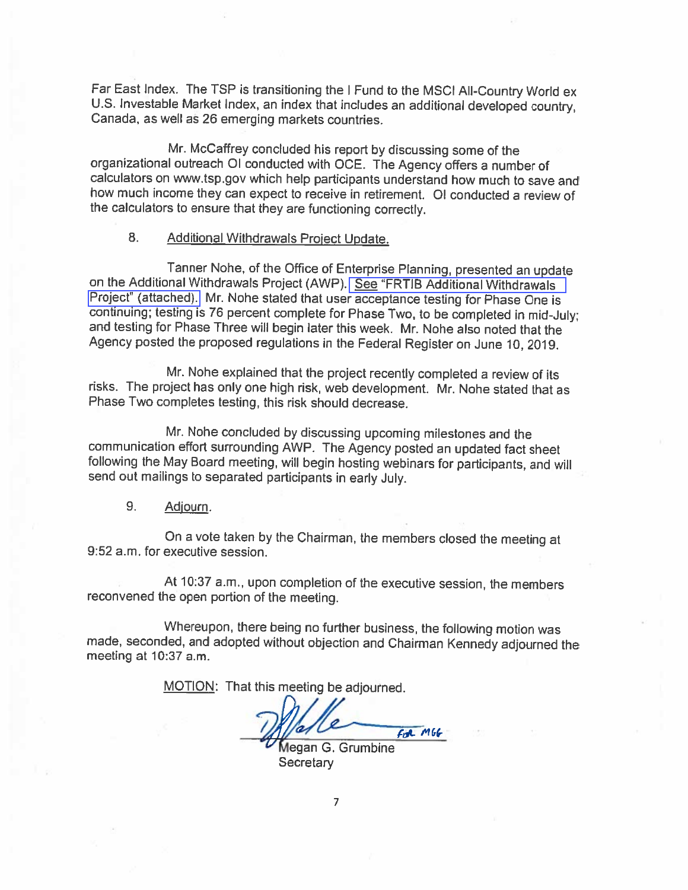Far East Index. The TSP is transitioning the I Fund to the MSCI All-Country World ex U.S. Investable Market Index, an index that includes an additional developed country, Canada, as well as 26 emerging markets countries.

Mr. McCaffrey concluded his report by discussing some of the organizational outreach OI conducted with OCE. The Agency offers a number of calculators on www.tsp.gov which help participants understand how much to save and how much income they can expect to receive in retirement. OI conducted a review of the calculators to ensure that they are functioning correctly.

#### 8. Additional Withdrawals Project Update.

Tanner Nohe, of the Office of Enterprise Planning, presented an update on the Additional Withdrawals Project (AWP). See "FRTIB Additional Withdrawals Project" (attached). Mr. Nohe stated that user acceptance testing for Phase One is continuing; testing is 76 percent complete for Phase Two, to be completed in mid-July; and testing for Phase Three will begin later this week. Mr. Nohe also noted that the Agency posted the proposed regulations in the Federal Register on June 10, 2019.

Mr. Nohe explained that the project recently completed a review of its risks. The project has only one high risk, web development. Mr. Nohe stated that as Phase Two completes testing, this risk should decrease.

Mr. Nohe concluded by discussing upcoming milestones and the communication effort surrounding AWP. The Agency posted an updated fact sheet following the May Board meeting, will begin hosting webinars for participants, and will send out mailings to separated participants in early July.

#### 9. Adjourn.

On a vote taken by the Chairman, the members closed the meeting at 9:52 a.m. for executive session.

At 10:37 a.m., upon completion of the executive session, the members reconvened the open portion of the meeting.

Whereupon, there being no further business, the following motion was made, seconded, and adopted without objection and Chairman Kennedy adjourned the meeting at 10:37 a.m.

MOTION: That this meeting be adjourned.

 $6R$   $M66$ 

Megan G. Grumbine Secretary

 $\overline{7}$